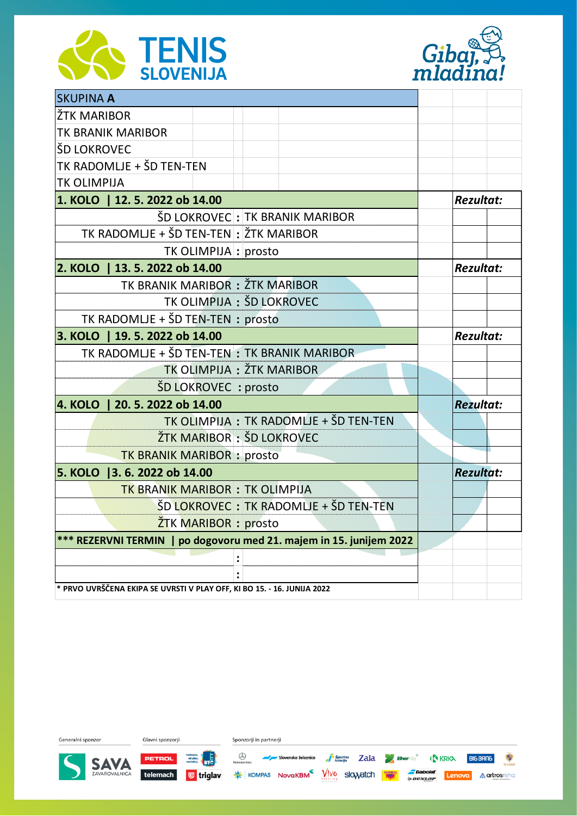



| <b>SKUPINA A</b>                                                        |                           |  |                                        |                  |  |
|-------------------------------------------------------------------------|---------------------------|--|----------------------------------------|------------------|--|
| ŽTK MARIBOR                                                             |                           |  |                                        |                  |  |
| TK BRANIK MARIBOR                                                       |                           |  |                                        |                  |  |
| ŠD LOKROVEC                                                             |                           |  |                                        |                  |  |
| TK RADOMLJE + ŠD TEN-TEN                                                |                           |  |                                        |                  |  |
| <b>TK OLIMPIJA</b>                                                      |                           |  |                                        |                  |  |
| 1. KOLO   12. 5. 2022 ob 14.00                                          |                           |  |                                        | <b>Rezultat:</b> |  |
|                                                                         |                           |  | ŠD LOKROVEC : TK BRANIK MARIBOR        |                  |  |
| TK RADOMLJE + ŠD TEN-TEN : ŽTK MARIBOR                                  |                           |  |                                        |                  |  |
|                                                                         | TK OLIMPIJA : prosto      |  |                                        |                  |  |
| 2. KOLO   13. 5. 2022 ob 14.00                                          |                           |  | <b>Rezultat:</b>                       |                  |  |
| TK BRANIK MARIBOR : ŽTK MARIBOR                                         |                           |  |                                        |                  |  |
|                                                                         | TK OLIMPIJA : ŠD LOKROVEC |  |                                        |                  |  |
| TK RADOMLJE + ŠD TEN-TEN : prosto                                       |                           |  |                                        |                  |  |
| 3. KOLO   19. 5. 2022 ob 14.00                                          |                           |  | <b>Rezultat:</b>                       |                  |  |
| TK RADOMLJE + ŠD TEN-TEN: TK BRANIK MARIBOR                             |                           |  |                                        |                  |  |
|                                                                         | TK OLIMPIJA : ŽTK MARIBOR |  |                                        |                  |  |
|                                                                         | ŠD LOKROVEC : prosto      |  |                                        |                  |  |
| 20. 5. 2022 ob 14.00<br>4. KOLO                                         |                           |  | <b>Rezultat:</b>                       |                  |  |
| TK OLIMPIJA : TK RADOMLJE + ŠD TEN-TEN                                  |                           |  |                                        |                  |  |
|                                                                         | ŽTK MARIBOR : ŠD LOKROVEC |  |                                        |                  |  |
| <b>TK BRANIK MARIBOR : prosto</b>                                       |                           |  |                                        |                  |  |
| 5. KOLO   3. 6. 2022 ob 14.00                                           |                           |  | <b>Rezultat:</b>                       |                  |  |
| <b>TK BRANIK MARIBOR: TK OLIMPIJA</b>                                   |                           |  |                                        |                  |  |
|                                                                         |                           |  | ŠD LOKROVEC : TK RADOMLJE + ŠD TEN-TEN |                  |  |
|                                                                         | ŽTK MARIBOR : prosto      |  |                                        |                  |  |
| *** REZERVNI TERMIN   po dogovoru med 21. majem in 15. junijem 2022     |                           |  |                                        |                  |  |
|                                                                         |                           |  |                                        |                  |  |
|                                                                         |                           |  |                                        |                  |  |
| * PRVO UVRŠČENA EKIPA SE UVRSTI V PLAY OFF, KI BO 15. - 16. JUNIJA 2022 |                           |  |                                        |                  |  |

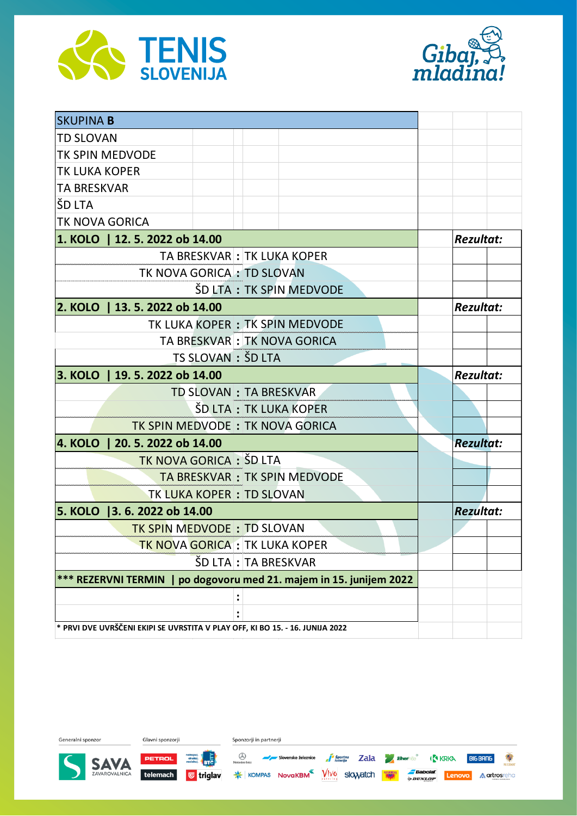



| <b>SKUPINA B</b>                                                              |                        |  |                                |                  |  |
|-------------------------------------------------------------------------------|------------------------|--|--------------------------------|------------------|--|
| <b>TD SLOVAN</b>                                                              |                        |  |                                |                  |  |
| <b>TK SPIN MEDVODE</b>                                                        |                        |  |                                |                  |  |
| <b>TK LUKA KOPER</b>                                                          |                        |  |                                |                  |  |
| <b>TA BRESKVAR</b>                                                            |                        |  |                                |                  |  |
| ŠD LTA                                                                        |                        |  |                                |                  |  |
| TK NOVA GORICA                                                                |                        |  |                                |                  |  |
| 1. KOLO   12. 5. 2022 ob 14.00                                                |                        |  |                                | <b>Rezultat:</b> |  |
|                                                                               |                        |  | TA BRESKVAR : TK LUKA KOPER    |                  |  |
| TK NOVA GORICA: TD SLOVAN                                                     |                        |  |                                |                  |  |
|                                                                               |                        |  | ŠD LTA: TK SPIN MEDVODE        |                  |  |
| 2. KOLO   13. 5. 2022 ob 14.00                                                |                        |  | <b>Rezultat:</b>               |                  |  |
|                                                                               |                        |  | TK LUKA KOPER: TK SPIN MEDVODE |                  |  |
|                                                                               |                        |  | TA BRESKVAR : TK NOVA GORICA   |                  |  |
|                                                                               | TS SLOVAN : ŠD LTA     |  |                                |                  |  |
| 3. KOLO   19. 5. 2022 ob 14.00                                                |                        |  | <b>Rezultat:</b>               |                  |  |
|                                                                               | TD SLOVAN: TA BRESKVAR |  |                                |                  |  |
| ŠD LTA: TK LUKA KOPER                                                         |                        |  |                                |                  |  |
| TK SPIN MEDVODE: TK NOVA GORICA                                               |                        |  |                                |                  |  |
| <b>4. KOLO  </b><br>20.5.2022 ob 14.00                                        |                        |  | <b>Rezultat:</b>               |                  |  |
| TK NOVA GORICA : ŠD LTA                                                       |                        |  |                                |                  |  |
|                                                                               |                        |  | TA BRESKVAR : TK SPIN MEDVODE  |                  |  |
| <b>TK LUKA KOPER : TD SLOVAN</b>                                              |                        |  |                                |                  |  |
| 5. KOLO   3. 6. 2022 ob 14.00                                                 |                        |  | <b>Rezultat:</b>               |                  |  |
| <b>TK SPIN MEDVODE: TD SLOVAN</b>                                             |                        |  |                                |                  |  |
| <b>TK NOVA GORICA : TK LUKA KOPER</b>                                         |                        |  |                                |                  |  |
|                                                                               | ŠD LTA : TA BRESKVAR   |  |                                |                  |  |
| *** REZERVNI TERMIN   po dogovoru med 21. majem in 15. junijem 2022           |                        |  |                                |                  |  |
|                                                                               |                        |  |                                |                  |  |
|                                                                               |                        |  |                                |                  |  |
| * PRVI DVE UVRŠČENI EKIPI SE UVRSTITA V PLAY OFF, KI BO 15. - 16. JUNIJA 2022 |                        |  |                                |                  |  |